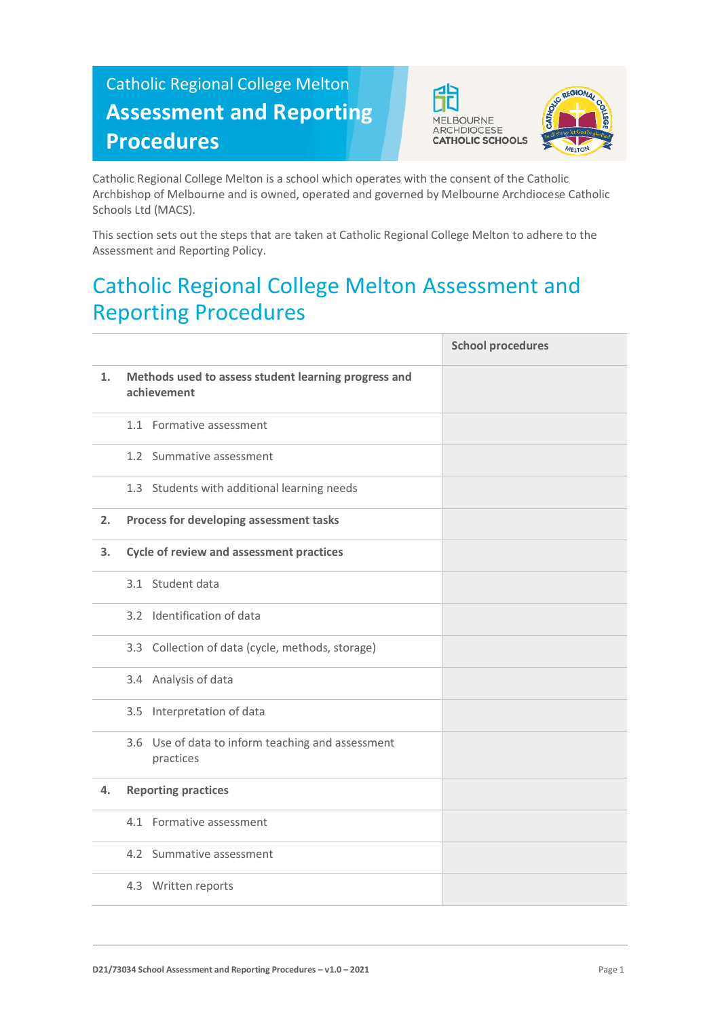## Catholic Regional College Melton **Assessment and Reporting Procedures**





Catholic Regional College Melton is a school which operates with the consent of the Catholic Archbishop of Melbourne and is owned, operated and governed by Melbourne Archdiocese Catholic Schools Ltd (MACS).

This section sets out the steps that are taken at Catholic Regional College Melton to adhere to the Assessment and Reporting Policy.

## Catholic Regional College Melton Assessment and Reporting Procedures

|    |                                                                     | <b>School procedures</b> |
|----|---------------------------------------------------------------------|--------------------------|
| 1. | Methods used to assess student learning progress and<br>achievement |                          |
|    | 1.1 Formative assessment                                            |                          |
|    | 1.2 Summative assessment                                            |                          |
|    | 1.3 Students with additional learning needs                         |                          |
| 2. | Process for developing assessment tasks                             |                          |
| 3. | Cycle of review and assessment practices                            |                          |
|    | 3.1 Student data                                                    |                          |
|    | 3.2 Identification of data                                          |                          |
|    | 3.3 Collection of data (cycle, methods, storage)                    |                          |
|    | 3.4 Analysis of data                                                |                          |
|    | 3.5 Interpretation of data                                          |                          |
|    | 3.6 Use of data to inform teaching and assessment<br>practices      |                          |
| 4. | <b>Reporting practices</b>                                          |                          |
|    | 4.1 Formative assessment                                            |                          |
|    | 4.2 Summative assessment                                            |                          |
|    | 4.3 Written reports                                                 |                          |